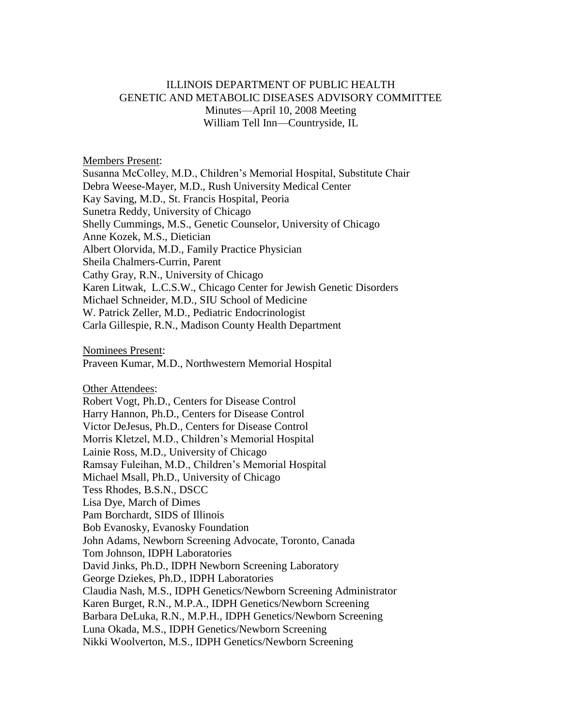## ILLINOIS DEPARTMENT OF PUBLIC HEALTH GENETIC AND METABOLIC DISEASES ADVISORY COMMITTEE Minutes—April 10, 2008 Meeting William Tell Inn—Countryside, IL

Members Present:

Susanna McColley, M.D., Children's Memorial Hospital, Substitute Chair Debra Weese-Mayer, M.D., Rush University Medical Center Kay Saving, M.D., St. Francis Hospital, Peoria Sunetra Reddy, University of Chicago Shelly Cummings, M.S., Genetic Counselor, University of Chicago Anne Kozek, M.S., Dietician Albert Olorvida, M.D., Family Practice Physician Sheila Chalmers-Currin, Parent Cathy Gray, R.N., University of Chicago Karen Litwak, L.C.S.W., Chicago Center for Jewish Genetic Disorders Michael Schneider, M.D., SIU School of Medicine W. Patrick Zeller, M.D., Pediatric Endocrinologist Carla Gillespie, R.N., Madison County Health Department

Nominees Present:

Praveen Kumar, M.D., Northwestern Memorial Hospital

Other Attendees:

Robert Vogt, Ph.D., Centers for Disease Control Harry Hannon, Ph.D., Centers for Disease Control Victor DeJesus, Ph.D., Centers for Disease Control Morris Kletzel, M.D., Children's Memorial Hospital Lainie Ross, M.D., University of Chicago Ramsay Fuleihan, M.D., Children's Memorial Hospital Michael Msall, Ph.D., University of Chicago Tess Rhodes, B.S.N., DSCC Lisa Dye, March of Dimes Pam Borchardt, SIDS of Illinois Bob Evanosky, Evanosky Foundation John Adams, Newborn Screening Advocate, Toronto, Canada Tom Johnson, IDPH Laboratories David Jinks, Ph.D., IDPH Newborn Screening Laboratory George Dziekes, Ph.D., IDPH Laboratories Claudia Nash, M.S., IDPH Genetics/Newborn Screening Administrator Karen Burget, R.N., M.P.A., IDPH Genetics/Newborn Screening Barbara DeLuka, R.N., M.P.H., IDPH Genetics/Newborn Screening Luna Okada, M.S., IDPH Genetics/Newborn Screening Nikki Woolverton, M.S., IDPH Genetics/Newborn Screening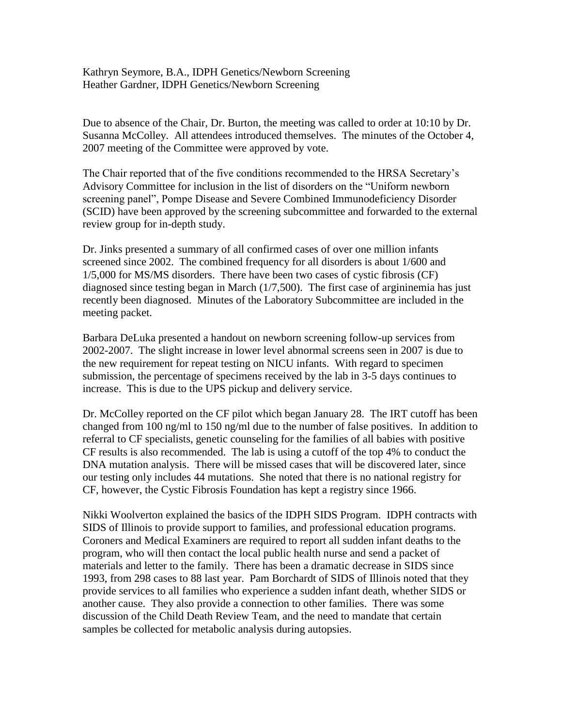Kathryn Seymore, B.A., IDPH Genetics/Newborn Screening Heather Gardner, IDPH Genetics/Newborn Screening

Due to absence of the Chair, Dr. Burton, the meeting was called to order at 10:10 by Dr. Susanna McColley. All attendees introduced themselves. The minutes of the October 4, 2007 meeting of the Committee were approved by vote.

The Chair reported that of the five conditions recommended to the HRSA Secretary's Advisory Committee for inclusion in the list of disorders on the "Uniform newborn screening panel", Pompe Disease and Severe Combined Immunodeficiency Disorder (SCID) have been approved by the screening subcommittee and forwarded to the external review group for in-depth study.

Dr. Jinks presented a summary of all confirmed cases of over one million infants screened since 2002. The combined frequency for all disorders is about 1/600 and 1/5,000 for MS/MS disorders. There have been two cases of cystic fibrosis (CF) diagnosed since testing began in March (1/7,500). The first case of argininemia has just recently been diagnosed. Minutes of the Laboratory Subcommittee are included in the meeting packet.

Barbara DeLuka presented a handout on newborn screening follow-up services from 2002-2007. The slight increase in lower level abnormal screens seen in 2007 is due to the new requirement for repeat testing on NICU infants. With regard to specimen submission, the percentage of specimens received by the lab in 3-5 days continues to increase. This is due to the UPS pickup and delivery service.

Dr. McColley reported on the CF pilot which began January 28. The IRT cutoff has been changed from 100 ng/ml to 150 ng/ml due to the number of false positives. In addition to referral to CF specialists, genetic counseling for the families of all babies with positive CF results is also recommended. The lab is using a cutoff of the top 4% to conduct the DNA mutation analysis. There will be missed cases that will be discovered later, since our testing only includes 44 mutations. She noted that there is no national registry for CF, however, the Cystic Fibrosis Foundation has kept a registry since 1966.

Nikki Woolverton explained the basics of the IDPH SIDS Program. IDPH contracts with SIDS of Illinois to provide support to families, and professional education programs. Coroners and Medical Examiners are required to report all sudden infant deaths to the program, who will then contact the local public health nurse and send a packet of materials and letter to the family. There has been a dramatic decrease in SIDS since 1993, from 298 cases to 88 last year. Pam Borchardt of SIDS of Illinois noted that they provide services to all families who experience a sudden infant death, whether SIDS or another cause. They also provide a connection to other families. There was some discussion of the Child Death Review Team, and the need to mandate that certain samples be collected for metabolic analysis during autopsies.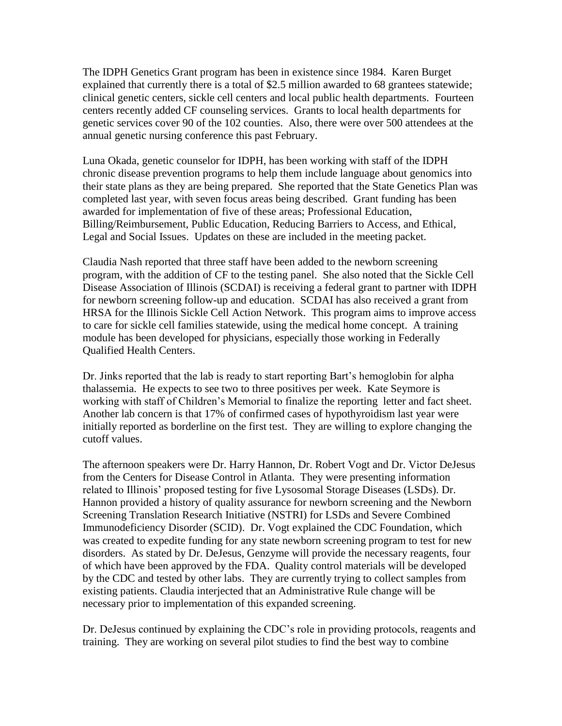The IDPH Genetics Grant program has been in existence since 1984. Karen Burget explained that currently there is a total of \$2.5 million awarded to 68 grantees statewide; clinical genetic centers, sickle cell centers and local public health departments. Fourteen centers recently added CF counseling services. Grants to local health departments for genetic services cover 90 of the 102 counties. Also, there were over 500 attendees at the annual genetic nursing conference this past February.

Luna Okada, genetic counselor for IDPH, has been working with staff of the IDPH chronic disease prevention programs to help them include language about genomics into their state plans as they are being prepared. She reported that the State Genetics Plan was completed last year, with seven focus areas being described. Grant funding has been awarded for implementation of five of these areas; Professional Education, Billing/Reimbursement, Public Education, Reducing Barriers to Access, and Ethical, Legal and Social Issues. Updates on these are included in the meeting packet.

Claudia Nash reported that three staff have been added to the newborn screening program, with the addition of CF to the testing panel. She also noted that the Sickle Cell Disease Association of Illinois (SCDAI) is receiving a federal grant to partner with IDPH for newborn screening follow-up and education. SCDAI has also received a grant from HRSA for the Illinois Sickle Cell Action Network. This program aims to improve access to care for sickle cell families statewide, using the medical home concept. A training module has been developed for physicians, especially those working in Federally Qualified Health Centers.

Dr. Jinks reported that the lab is ready to start reporting Bart's hemoglobin for alpha thalassemia. He expects to see two to three positives per week. Kate Seymore is working with staff of Children's Memorial to finalize the reporting letter and fact sheet. Another lab concern is that 17% of confirmed cases of hypothyroidism last year were initially reported as borderline on the first test. They are willing to explore changing the cutoff values.

The afternoon speakers were Dr. Harry Hannon, Dr. Robert Vogt and Dr. Victor DeJesus from the Centers for Disease Control in Atlanta. They were presenting information related to Illinois' proposed testing for five Lysosomal Storage Diseases (LSDs). Dr. Hannon provided a history of quality assurance for newborn screening and the Newborn Screening Translation Research Initiative (NSTRI) for LSDs and Severe Combined Immunodeficiency Disorder (SCID). Dr. Vogt explained the CDC Foundation, which was created to expedite funding for any state newborn screening program to test for new disorders. As stated by Dr. DeJesus, Genzyme will provide the necessary reagents, four of which have been approved by the FDA. Quality control materials will be developed by the CDC and tested by other labs. They are currently trying to collect samples from existing patients. Claudia interjected that an Administrative Rule change will be necessary prior to implementation of this expanded screening.

Dr. DeJesus continued by explaining the CDC's role in providing protocols, reagents and training. They are working on several pilot studies to find the best way to combine